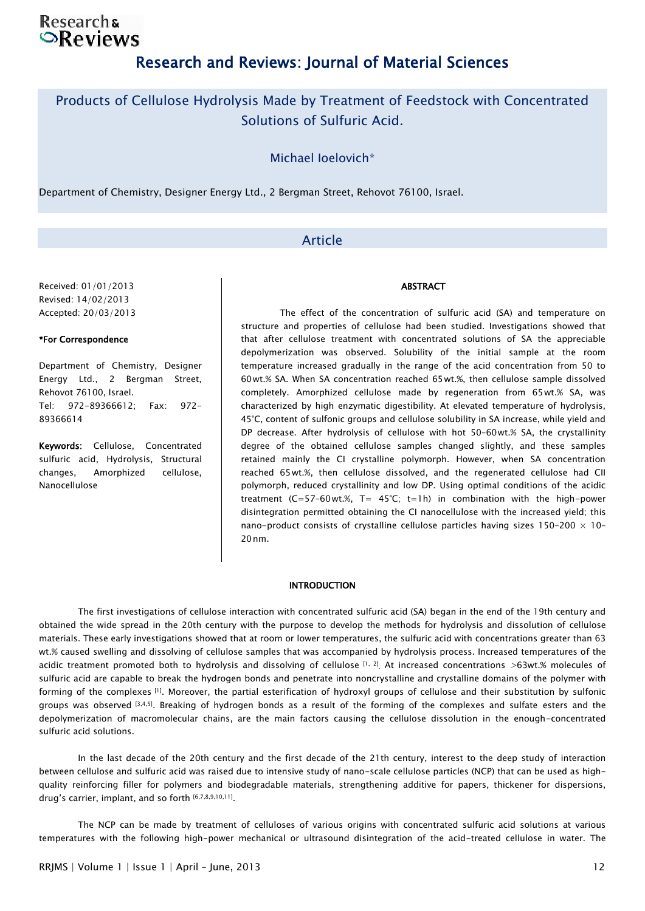## **Researchs**  $\odot$ Reviews

## Research and Reviews: Journal of Material Sciences

## Products of Cellulose Hydrolysis Made by Treatment of Feedstock with Concentrated Solutions of Sulfuric Acid.

Michael Ioelovich\*

Department of Chemistry, Designer Energy Ltd., 2 Bergman Street, Rehovot 76100, Israel.

### Article

Received: 01/01/2013 Revised: 14/02/2013 Accepted: 20/03/2013

#### \*For Correspondence

Department of Chemistry, Designer Energy Ltd., 2 Bergman Street, Rehovot 76100, Israel. Tel: 972-89366612; Fax: 972- 89366614

Keywords: Cellulose, Concentrated sulfuric acid, Hydrolysis, Structural changes, Amorphized cellulose, Nanocellulose

#### ABSTRACT

The effect of the concentration of sulfuric acid (SA) and temperature on structure and properties of cellulose had been studied. Investigations showed that that after cellulose treatment with concentrated solutions of SA the appreciable depolymerization was observed. Solubility of the initial sample at the room temperature increased gradually in the range of the acid concentration from 50 to 60 wt.% SA. When SA concentration reached 65 wt.%, then cellulose sample dissolved completely. Amorphized cellulose made by regeneration from 65 wt.% SA, was characterized by high enzymatic digestibility. At elevated temperature of hydrolysis, 45°C, content of sulfonic groups and cellulose solubility in SA increase, while yield and DP decrease. After hydrolysis of cellulose with hot 50–60 wt.% SA, the crystallinity degree of the obtained cellulose samples changed slightly, and these samples retained mainly the CI crystalline polymorph. However, when SA concentration reached 65 wt.%, then cellulose dissolved, and the regenerated cellulose had CII polymorph, reduced crystallinity and low DP. Using optimal conditions of the acidic treatment (C=57–60 wt.%, T= 45°C; t=1h) in combination with the high-power disintegration permitted obtaining the CI nanocellulose with the increased yield; this nano-product consists of crystalline cellulose particles having sizes 150-200  $\times$  10-20 nm.

#### **INTRODUCTION**

The first investigations of cellulose interaction with concentrated sulfuric acid (SA) began in the end of the 19th century and obtained the wide spread in the 20th century with the purpose to develop the methods for hydrolysis and dissolution of cellulose materials. These early investigations showed that at room or lower temperatures, the sulfuric acid with concentrations greater than 63 wt.% caused swelling and dissolving of cellulose samples that was accompanied by hydrolysis process. Increased temperatures of the acidic treatment promoted both to hydrolysis and dissolving of cellulose  $[1, 2]$ . At increased concentrations >63wt.% molecules of sulfuric acid are capable to break the hydrogen bonds and penetrate into noncrystalline and crystalline domains of the polymer with forming of the complexes [1]. Moreover, the partial esterification of hydroxyl groups of cellulose and their substitution by sulfonic groups was observed [3,4,5]. Breaking of hydrogen bonds as a result of the forming of the complexes and sulfate esters and the depolymerization of macromolecular chains, are the main factors causing the cellulose dissolution in the enough-concentrated sulfuric acid solutions.

 In the last decade of the 20th century and the first decade of the 21th century, interest to the deep study of interaction between cellulose and sulfuric acid was raised due to intensive study of nano-scale cellulose particles (NCP) that can be used as highquality reinforcing filler for polymers and biodegradable materials, strengthening additive for papers, thickener for dispersions, drug's carrier, implant, and so forth [6,7,8,9,10,11].

 The NCP can be made by treatment of celluloses of various origins with concentrated sulfuric acid solutions at various temperatures with the following high-power mechanical or ultrasound disintegration of the acid-treated cellulose in water. The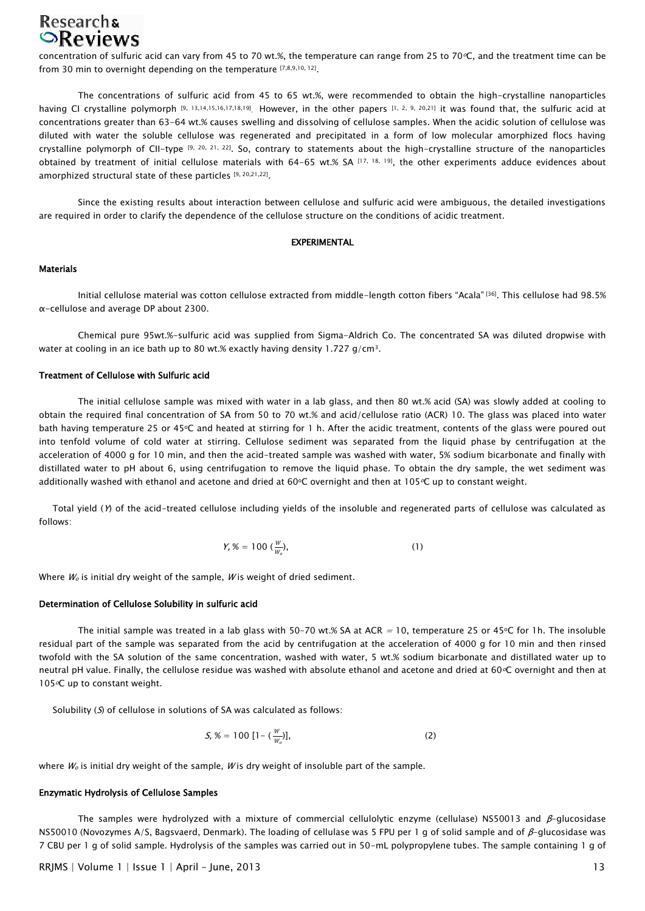# Researchs<br> **Reviews**

concentration of sulfuric acid can vary from 45 to 70 wt.%, the temperature can range from 25 to 70°C, and the treatment time can be from 30 min to overnight depending on the temperature [7,8,9,10, 12].

 The concentrations of sulfuric acid from 45 to 65 wt.%, were recommended to obtain the high-crystalline nanoparticles having CI crystalline polymorph [9, 13,14,15,16,17,18,19]. However, in the other papers [1, 2, 9, 20,21] it was found that, the sulfuric acid at concentrations greater than 63-64 wt.% causes swelling and dissolving of cellulose samples. When the acidic solution of cellulose was diluted with water the soluble cellulose was regenerated and precipitated in a form of low molecular amorphized flocs having crystalline polymorph of CII-type [9, 20, 21, 22]. So, contrary to statements about the high-crystalline structure of the nanoparticles obtained by treatment of initial cellulose materials with 64-65 wt.% SA [17, 18, 19], the other experiments adduce evidences about amorphized structural state of these particles [9, 20, 21, 22].

 Since the existing results about interaction between cellulose and sulfuric acid were ambiguous, the detailed investigations are required in order to clarify the dependence of the cellulose structure on the conditions of acidic treatment.

#### EXPERIMENTAL

#### Materials

Initial cellulose material was cotton cellulose extracted from middle-length cotton fibers "Acala" [36]. This cellulose had 98.5% α-cellulose and average DP about 2300.

 Chemical pure 95wt.%-sulfuric acid was supplied from Sigma-Aldrich Co. The concentrated SA was diluted dropwise with water at cooling in an ice bath up to 80 wt.% exactly having density 1.727 g/cm<sup>3</sup>.

#### Treatment of Cellulose with Sulfuric acid

The initial cellulose sample was mixed with water in a lab glass, and then 80 wt.% acid (SA) was slowly added at cooling to obtain the required final concentration of SA from 50 to 70 wt.% and acid/cellulose ratio (ACR) 10. The glass was placed into water bath having temperature 25 or 45°C and heated at stirring for 1 h. After the acidic treatment, contents of the glass were poured out into tenfold volume of cold water at stirring. Cellulose sediment was separated from the liquid phase by centrifugation at the acceleration of 4000 g for 10 min, and then the acid-treated sample was washed with water, 5% sodium bicarbonate and finally with distillated water to pH about 6, using centrifugation to remove the liquid phase. To obtain the dry sample, the wet sediment was additionally washed with ethanol and acetone and dried at 60 $\circ$ C overnight and then at 105 $\circ$ C up to constant weight.

 Total yield (Y) of the acid-treated cellulose including yields of the insoluble and regenerated parts of cellulose was calculated as follows:

$$
Y, \, \mathcal{K} = 100 \, \left(\frac{W}{W_o}\right), \tag{1}
$$

Where  $W_0$  is initial dry weight of the sample. W is weight of dried sediment.

#### Determination of Cellulose Solubility in sulfuric acid

The initial sample was treated in a lab glass with 50-70 wt.% SA at ACR = 10, temperature 25 or 45 $\circ$ C for 1h. The insoluble residual part of the sample was separated from the acid by centrifugation at the acceleration of 4000 g for 10 min and then rinsed twofold with the SA solution of the same concentration, washed with water, 5 wt.% sodium bicarbonate and distillated water up to neutral pH value. Finally, the cellulose residue was washed with absolute ethanol and acetone and dried at 60 °C overnight and then at 105<sup>o</sup>C up to constant weight.

Solubility (S) of cellulose in solutions of SA was calculated as follows:

$$
S, \mathcal{K} = 100 \left[1 - \left(\frac{W}{W_o}\right)\right], \tag{2}
$$

where  $W_0$  is initial dry weight of the sample, W is dry weight of insoluble part of the sample.

#### Enzymatic Hydrolysis of Cellulose Samples

The samples were hydrolyzed with a mixture of commercial cellulolytic enzyme (cellulase) NS50013 and  $\beta$ -glucosidase NS50010 (Novozymes A/S, Bagsvaerd, Denmark). The loading of cellulase was 5 FPU per 1 g of solid sample and of β-glucosidase was 7 CBU per 1 g of solid sample. Hydrolysis of the samples was carried out in 50-mL polypropylene tubes. The sample containing 1 g of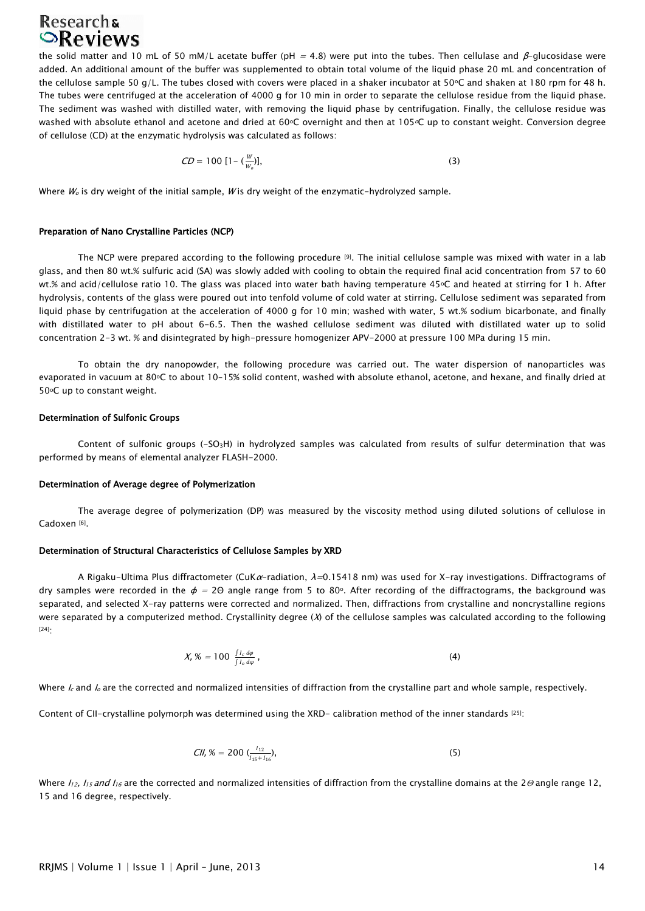# **Researchs**

the solid matter and 10 mL of 50 mM/L acetate buffer (pH = 4.8) were put into the tubes. Then cellulase and  $\beta$ -glucosidase were added. An additional amount of the buffer was supplemented to obtain total volume of the liquid phase 20 mL and concentration of the cellulose sample 50 g/L. The tubes closed with covers were placed in a shaker incubator at 50°C and shaken at 180 rpm for 48 h. The tubes were centrifuged at the acceleration of 4000 g for 10 min in order to separate the cellulose residue from the liquid phase. The sediment was washed with distilled water, with removing the liquid phase by centrifugation. Finally, the cellulose residue was washed with absolute ethanol and acetone and dried at 60°C overnight and then at 105°C up to constant weight. Conversion degree of cellulose (CD) at the enzymatic hydrolysis was calculated as follows:

$$
CD = 100 \left[1 - \left(\frac{W}{W_0}\right)\right],\tag{3}
$$

Where  $W_0$  is dry weight of the initial sample, W is dry weight of the enzymatic-hydrolyzed sample.

#### Preparation of Nano Crystalline Particles (NCP)

The NCP were prepared according to the following procedure [9]. The initial cellulose sample was mixed with water in a lab glass, and then 80 wt.% sulfuric acid (SA) was slowly added with cooling to obtain the required final acid concentration from 57 to 60 wt.% and acid/cellulose ratio 10. The glass was placed into water bath having temperature 45°C and heated at stirring for 1 h. After hydrolysis, contents of the glass were poured out into tenfold volume of cold water at stirring. Cellulose sediment was separated from liquid phase by centrifugation at the acceleration of 4000 g for 10 min; washed with water, 5 wt.% sodium bicarbonate, and finally with distillated water to pH about 6-6.5. Then the washed cellulose sediment was diluted with distillated water up to solid concentration 2-3 wt. % and disintegrated by high-pressure homogenizer APV-2000 at pressure 100 MPa during 15 min.

 To obtain the dry nanopowder, the following procedure was carried out. The water dispersion of nanoparticles was evaporated in vacuum at 80°C to about 10-15% solid content, washed with absolute ethanol, acetone, and hexane, and finally dried at 50°C up to constant weight.

#### Determination of Sulfonic Groups

Content of sulfonic groups (-SO3H) in hydrolyzed samples was calculated from results of sulfur determination that was performed by means of elemental analyzer FLASH-2000.

#### Determination of Average degree of Polymerization

The average degree of polymerization (DP) was measured by the viscosity method using diluted solutions of cellulose in Cadoxen<sup>[6]</sup>.

#### Determination of Structural Characteristics of Cellulose Samples by XRD

A Rigaku-Ultima Plus diffractometer (CuKa-radiation,  $\lambda=0.15418$  nm) was used for X-ray investigations. Diffractograms of dry samples were recorded in the  $\phi = 2\Theta$  angle range from 5 to 80°. After recording of the diffractograms, the background was separated, and selected X-ray patterns were corrected and normalized. Then, diffractions from crystalline and noncrystalline regions were separated by a computerized method. Crystallinity degree  $(X)$  of the cellulose samples was calculated according to the following [24]:

$$
X, \mathcal{X} = 100 \frac{\int l_c d\varphi}{\int l_o d\varphi}, \qquad (4)
$$

Where  $l_c$  and  $l_o$  are the corrected and normalized intensities of diffraction from the crystalline part and whole sample, respectively.

Content of CII-crystalline polymorph was determined using the XRD- calibration method of the inner standards [25]:

$$
CII, \mathcal{K} = 200 \; \left( \frac{I_{12}}{I_{15} + I_{16}} \right), \tag{5}
$$

Where  $I_{12}$ ,  $I_{15}$  and  $I_{16}$  are the corrected and normalized intensities of diffraction from the crystalline domains at the 2 $\Theta$  angle range 12, 15 and 16 degree, respectively.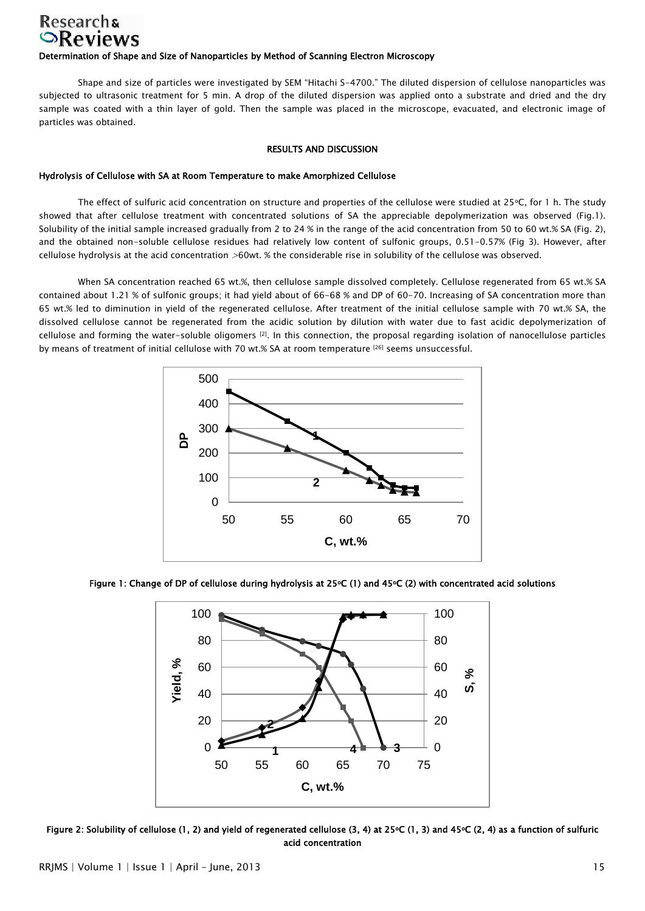## **Researchs**  $\odot$ Reviews Determination of Shape and Size of Nanoparticles by Method of Scanning Electron Microscopy

Shape and size of particles were investigated by SEM "Hitachi S-4700." The diluted dispersion of cellulose nanoparticles was subjected to ultrasonic treatment for 5 min. A drop of the diluted dispersion was applied onto a substrate and dried and the dry sample was coated with a thin layer of gold. Then the sample was placed in the microscope, evacuated, and electronic image of particles was obtained.

#### RESULTS AND DISCUSSION

### Hydrolysis of Cellulose with SA at Room Temperature to make Amorphized Cellulose

The effect of sulfuric acid concentration on structure and properties of the cellulose were studied at  $25\degree$ C, for 1 h. The study showed that after cellulose treatment with concentrated solutions of SA the appreciable depolymerization was observed (Fig.1). Solubility of the initial sample increased gradually from 2 to 24 % in the range of the acid concentration from 50 to 60 wt.% SA (Fig. 2), and the obtained non-soluble cellulose residues had relatively low content of sulfonic groups, 0.51-0.57% (Fig 3). However, after cellulose hydrolysis at the acid concentration >60wt. % the considerable rise in solubility of the cellulose was observed.

When SA concentration reached 65 wt.%, then cellulose sample dissolved completely. Cellulose regenerated from 65 wt.% SA contained about 1.21 % of sulfonic groups; it had yield about of 66-68 % and DP of 60-70. Increasing of SA concentration more than 65 wt.% led to diminution in yield of the regenerated cellulose. After treatment of the initial cellulose sample with 70 wt.% SA, the dissolved cellulose cannot be regenerated from the acidic solution by dilution with water due to fast acidic depolymerization of cellulose and forming the water-soluble oligomers [2]. In this connection, the proposal regarding isolation of nanocellulose particles by means of treatment of initial cellulose with 70 wt.% SA at room temperature [26] seems unsuccessful.



Figure 1: Change of DP of cellulose during hydrolysis at 25°C (1) and 45°C (2) with concentrated acid solutions



Figure 2: Solubility of cellulose (1, 2) and yield of regenerated cellulose (3, 4) at 25 $\circ$ C (1, 3) and 45 $\circ$ C (2, 4) as a function of sulfuric acid concentration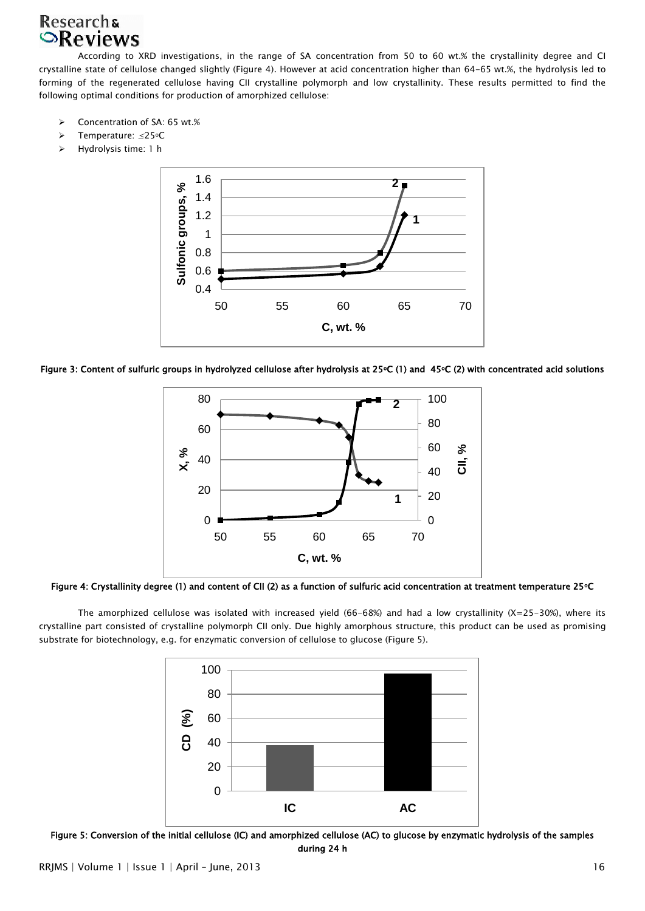## **Researchs SReviews**

 According to XRD investigations, in the range of SA concentration from 50 to 60 wt.% the crystallinity degree and CI crystalline state of cellulose changed slightly (Figure 4). However at acid concentration higher than 64-65 wt.%, the hydrolysis led to forming of the regenerated cellulose having CII crystalline polymorph and low crystallinity. These results permitted to find the following optimal conditions for production of amorphized cellulose:

- Concentration of SA: 65 wt.%
- Temperature: ≤25oC
- Hydrolysis time: 1 h



Figure 3: Content of sulfuric groups in hydrolyzed cellulose after hydrolysis at 25°C (1) and 45°C (2) with concentrated acid solutions



Figure 4: Crystallinity degree (1) and content of CII (2) as a function of sulfuric acid concentration at treatment temperature 25oC

The amorphized cellulose was isolated with increased yield (66-68%) and had a low crystallinity (X=25-30%), where its crystalline part consisted of crystalline polymorph CII only. Due highly amorphous structure, this product can be used as promising substrate for biotechnology, e.g. for enzymatic conversion of cellulose to glucose (Figure 5).



Figure 5: Conversion of the initial cellulose (IC) and amorphized cellulose (AC) to glucose by enzymatic hydrolysis of the samples during 24 h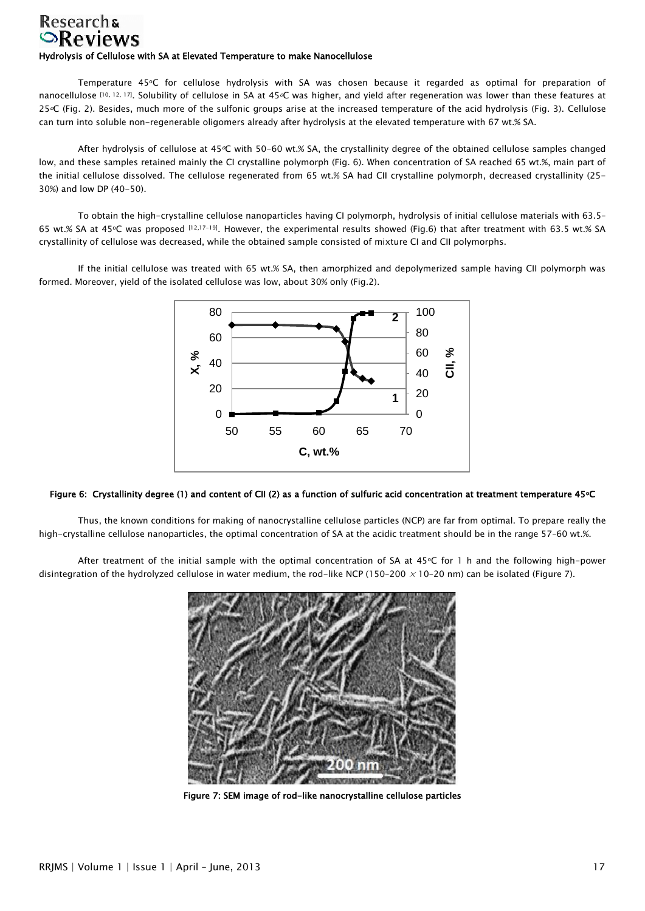## **Researchs**  $\odot$ Reviews Hydrolysis of Cellulose with SA at Elevated Temperature to make Nanocellulose

Temperature 45°C for cellulose hydrolysis with SA was chosen because it regarded as optimal for preparation of nanocellulose [10, 12, 17]. Solubility of cellulose in SA at 45 °C was higher, and yield after regeneration was lower than these features at 25<sup>o</sup>C (Fig. 2). Besides, much more of the sulfonic groups arise at the increased temperature of the acid hydrolysis (Fig. 3). Cellulose can turn into soluble non-regenerable oligomers already after hydrolysis at the elevated temperature with 67 wt.% SA.

After hydrolysis of cellulose at 45°C with 50-60 wt.% SA, the crystallinity degree of the obtained cellulose samples changed low, and these samples retained mainly the CI crystalline polymorph (Fig. 6). When concentration of SA reached 65 wt.%, main part of the initial cellulose dissolved. The cellulose regenerated from 65 wt.% SA had CII crystalline polymorph, decreased crystallinity (25- 30%) and low DP (40-50).

 To obtain the high-crystalline cellulose nanoparticles having CI polymorph, hydrolysis of initial cellulose materials with 63.5– 65 wt.% SA at 45oC was proposed [12,17-19]. However, the experimental results showed (Fig.6) that after treatment with 63.5 wt.% SA crystallinity of cellulose was decreased, while the obtained sample consisted of mixture CI and CII polymorphs.

 If the initial cellulose was treated with 65 wt.% SA, then amorphized and depolymerized sample having CII polymorph was formed. Moreover, yield of the isolated cellulose was low, about 30% only (Fig.2).



#### Figure 6: Crystallinity degree (1) and content of CII (2) as a function of sulfuric acid concentration at treatment temperature 45°C

 Thus, the known conditions for making of nanocrystalline cellulose particles (NCP) are far from optimal. To prepare really the high-crystalline cellulose nanoparticles, the optimal concentration of SA at the acidic treatment should be in the range 57-60 wt.%.

After treatment of the initial sample with the optimal concentration of SA at  $45^{\circ}$ C for 1 h and the following high-power disintegration of the hydrolyzed cellulose in water medium, the rod-like NCP (150-200  $\times$  10-20 nm) can be isolated (Figure 7).



Figure 7: SEM image of rod-like nanocrystalline cellulose particles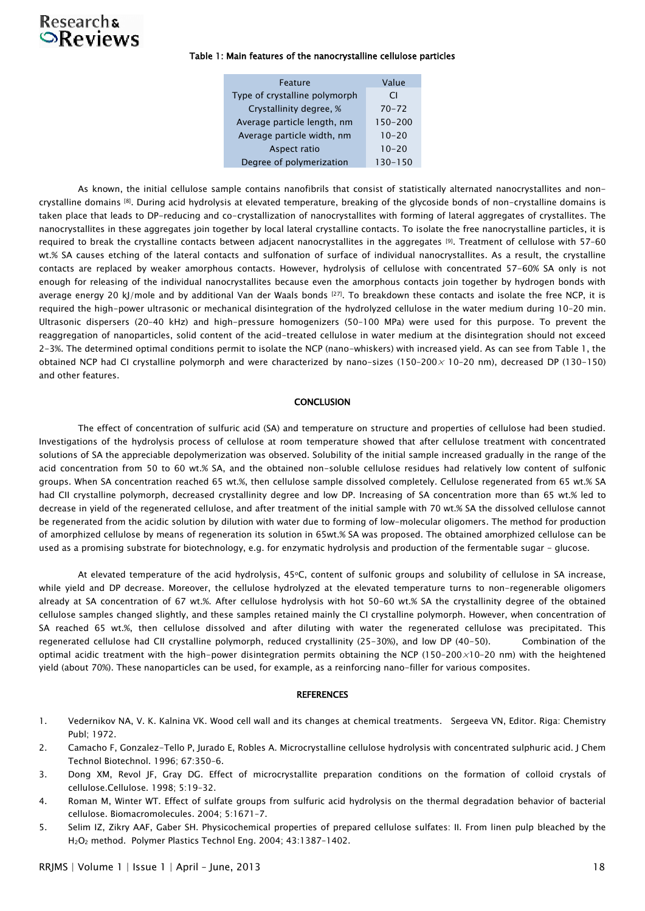# Researchs<br> **Reviews**

#### Table 1: Main features of the nanocrystalline cellulose particles

| Feature                       | Value       |
|-------------------------------|-------------|
| Type of crystalline polymorph | CI          |
| Crystallinity degree, %       | $70 - 72$   |
| Average particle length, nm   | $150 - 200$ |
| Average particle width, nm    | $10 - 20$   |
| Aspect ratio                  | $10 - 20$   |
| Degree of polymerization      | $130 - 150$ |

 As known, the initial cellulose sample contains nanofibrils that consist of statistically alternated nanocrystallites and noncrystalline domains [8]. During acid hydrolysis at elevated temperature, breaking of the glycoside bonds of non-crystalline domains is taken place that leads to DP-reducing and co-crystallization of nanocrystallites with forming of lateral aggregates of crystallites. The nanocrystallites in these aggregates join together by local lateral crystalline contacts. To isolate the free nanocrystalline particles, it is required to break the crystalline contacts between adjacent nanocrystallites in the aggregates [9]. Treatment of cellulose with 57–60 wt.% SA causes etching of the lateral contacts and sulfonation of surface of individual nanocrystallites. As a result, the crystalline contacts are replaced by weaker amorphous contacts. However, hydrolysis of cellulose with concentrated 57-60% SA only is not enough for releasing of the individual nanocrystallites because even the amorphous contacts join together by hydrogen bonds with average energy 20 kJ/mole and by additional Van der Waals bonds [27]. To breakdown these contacts and isolate the free NCP, it is required the high-power ultrasonic or mechanical disintegration of the hydrolyzed cellulose in the water medium during 10–20 min. Ultrasonic dispersers (20–40 kHz) and high-pressure homogenizers (50–100 MPa) were used for this purpose. To prevent the reaggregation of nanoparticles, solid content of the acid-treated cellulose in water medium at the disintegration should not exceed 2-3%. The determined optimal conditions permit to isolate the NCP (nano-whiskers) with increased yield. As can see from Table 1, the obtained NCP had CI crystalline polymorph and were characterized by nano-sizes (150-200 $\times$  10-20 nm), decreased DP (130-150) and other features.

#### CONCLUSION

The effect of concentration of sulfuric acid (SA) and temperature on structure and properties of cellulose had been studied. Investigations of the hydrolysis process of cellulose at room temperature showed that after cellulose treatment with concentrated solutions of SA the appreciable depolymerization was observed. Solubility of the initial sample increased gradually in the range of the acid concentration from 50 to 60 wt.% SA, and the obtained non-soluble cellulose residues had relatively low content of sulfonic groups. When SA concentration reached 65 wt.%, then cellulose sample dissolved completely. Cellulose regenerated from 65 wt.% SA had CII crystalline polymorph, decreased crystallinity degree and low DP. Increasing of SA concentration more than 65 wt.% led to decrease in yield of the regenerated cellulose, and after treatment of the initial sample with 70 wt.% SA the dissolved cellulose cannot be regenerated from the acidic solution by dilution with water due to forming of low-molecular oligomers. The method for production of amorphized cellulose by means of regeneration its solution in 65wt.% SA was proposed. The obtained amorphized cellulose can be used as a promising substrate for biotechnology, e.g. for enzymatic hydrolysis and production of the fermentable sugar - glucose.

At elevated temperature of the acid hydrolysis, 45°C, content of sulfonic groups and solubility of cellulose in SA increase, while yield and DP decrease. Moreover, the cellulose hydrolyzed at the elevated temperature turns to non-regenerable oligomers already at SA concentration of 67 wt.%. After cellulose hydrolysis with hot 50–60 wt.% SA the crystallinity degree of the obtained cellulose samples changed slightly, and these samples retained mainly the CI crystalline polymorph. However, when concentration of SA reached 65 wt.%, then cellulose dissolved and after diluting with water the regenerated cellulose was precipitated. This regenerated cellulose had CII crystalline polymorph, reduced crystallinity (25-30%), and low DP (40-50). Combination of the optimal acidic treatment with the high-power disintegration permits obtaining the NCP (150-200 $\times$ 10-20 nm) with the heightened yield (about 70%). These nanoparticles can be used, for example, as a reinforcing nano-filler for various composites.

#### **REFERENCES**

- 1. Vedernikov NA, V. K. Kalnina VK. Wood cell wall and its changes at chemical treatments. Sergeeva VN, Editor. Riga: Chemistry Publ; 1972.
- 2. Camacho F, Gonzalez-Tello P, Jurado E, Robles A. Microcrystalline cellulose hydrolysis with concentrated sulphuric acid. J Chem Technol Biotechnol. 1996; 67:350–6.
- 3. Dong XM, Revol JF, Gray DG. Effect of microcrystallite preparation conditions on the formation of colloid crystals of cellulose.Cellulose. 1998; 5:19–32.
- 4. Roman M, Winter WT. Effect of sulfate groups from sulfuric acid hydrolysis on the thermal degradation behavior of bacterial cellulose. Biomacromolecules. 2004; 5:1671–7.
- 5. Selim IZ, Zikry AAF, Gaber SH. Physicochemical properties of prepared cellulose sulfates: II. From linen pulp bleached by the H2O<sup>2</sup> method. Polymer Plastics Technol Eng. 2004; 43:1387–1402.